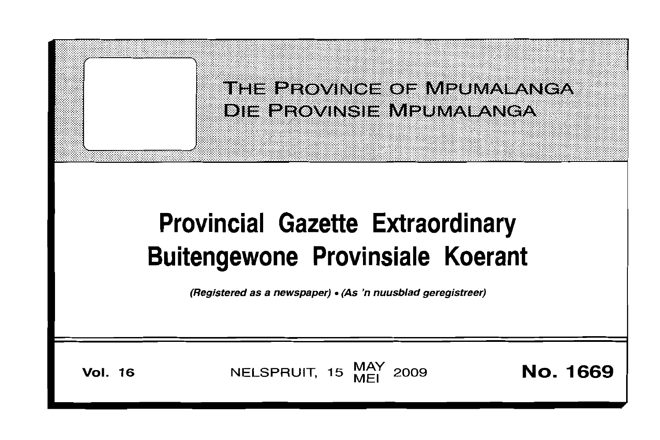